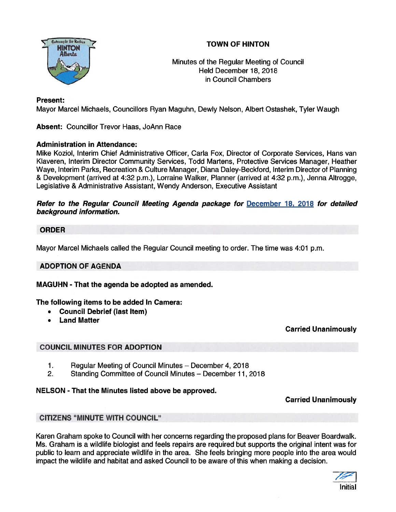# TOWN OF HINTON



\ Minutes of the Regular Meeting of Council Held December 18, 2018 in Council Chambers

## Present:

Mayor Marcel Michaels, Councillors Ryan Maguhn, Dewly Nelson, Albert Ostashek, Tyler Waugh

Absent: Councillor Trevor Haas, JoAnn Race

## Administration in Attendance:

Mike Koziol, Interim Chief Administrative Officer, Carla Fox, Director of Corporate Services, Hans van Klaveren, Interim Director Community Services, Todd Martens, Protective Services Manager, Heather Waye, Interim Parks, Recreation & Culture Manager, Diana Daley-Beckford, Interim Director of Planning & Development (arrived at 4:32 p.m.), Lorraine Walker, Planner (arrived at 4:32 p.m.), Jenna Altrogge, Legislative & Administrative Assistant, Wendy Anderson, Executive Assistant

### Refer to the Regular Council Meeting Agenda package for December 18, 2018 for detailed background information.

## ORDER

Mayor Marcel Michaels called the Regular Council meeting to order. The time was 4:01 p.m.

## ADOPTION OF AGENDA

MAGUHN - That the agenda be adopted as amended.

The following items to be added In Camera:

- •Council Debrief (last Item)
- •Land Matter

Carried Unanimously

## COUNCIL MINUTES FOR ADOPTION

- 1. Regular Meeting of Council Minutes December 4, 2018
- 2. Standing Committee of Council Minutes December 11, 2018

### NELSON - That the Minutes listed above be approved.

Carried Unanimously

### CITIZENS "MINUTE WITH COUNCIL'

Karen Graham spoke to Council with her concerns regarding the proposed plans for Beaver Boardwalk. Ms. Graham is <sup>a</sup> wildlife biologist and feels repairs are required but supports the original intent was for public to learn and appreciate wildlife in the area. She feels bringing more people into the area would impact the wildlife and habitat and asked Council to be aware of this when making <sup>a</sup> decision.

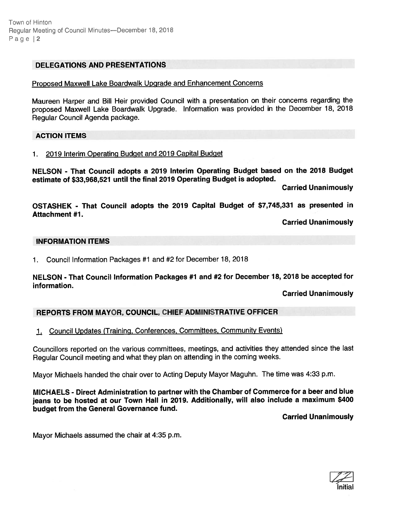### DELEGATIONS AND PRESENTATIONS

#### Proposed Maxwell Lake Boardwalk Upgrade and Enhancement Concerns

Maureen Harper and Bill Heir provided Council with <sup>a</sup> presentation on their concerns regarding the propose<sup>d</sup> Maxwell Lake Boardwalk Upgrade. Information was provided in the December 18, <sup>2018</sup> Regular Council Agenda package.

### ACTION ITEMS

### 1. 2019 Interim Operating Budget and 2019 Capital Budget

NELSON - That Council adopts <sup>a</sup> <sup>2019</sup> Interim Operating Budget based on the <sup>2018</sup> Budget estimate of \$33,968,521 until the final 2019 Operating Budget is adopted.

Carried Unanimously

OSTASHEK - That Council adopts the <sup>2019</sup> Capital Budget of \$7,745,331 as presented in Attachment #7.

Carried Unanimously

#### INFORMATION ITEMS

1. Council Information Packages #1 and #2 for December 18, 2018

### NELSON - That Council Information Packages #1 and #2 for December 18, <sup>2018</sup> be accepted for information.

Carried Unanimously

## REPORTS FROM MAYOR, COUNCIL, CHIEF ADMINISTRATIVE OFFICER

1. Council Updates (Training, Conferences, Committees, Community Events)

Councillors reported on the various committees, meetings, and activities they attended since the last Regular Council meeting and what they <sup>p</sup>lan on attending in the coming weeks.

Mayor Michaels handed the chair over to Acting Deputy Mayor Maguhn. The time was 4:33 p.m.

MICHAELS - Direct Administration to partner with the Chamber of Commerce for <sup>a</sup> beer and blue jeans to be hosted at our Town Hall in 2019. Additionally, will also include <sup>a</sup> maximum \$400 budget from the General Governance fund.

Carried Unanimously

Mayor Michaels assumed the chair at 4:35 p.m.

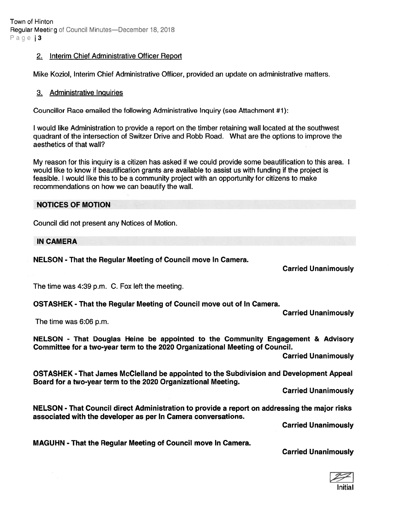Town of Hinton Regular Meeting of Council Minutes—December 18, 2018 Page 3

#### 2. Interim Chief Administrative Officer Report

Mike Koziol, Interim Chief Administrative Officer, provided an update on administrative matters.

#### 3. Administrative Inquiries

Councillor Race emailed the following Administrative Inquiry (see Attachment #1):

I would like Administration to provide <sup>a</sup> repor<sup>t</sup> on the timber retaining wall located at the southwest quadrant of the intersection of Switzer Drive and Robb Road. What are the options to improve the aesthetics of that wall?

My reason for this inquiry is <sup>a</sup> citizen has asked if we could provide some beautification to this area. I would like to know if beautification grants are available to assist us with funding if the project is feasible. I would like this to be <sup>a</sup> community project with an opportunity for citizens to make recommendations on how we can beautify the wall.

#### NOTICES OF MOTION

Council did not presen<sup>t</sup> any Notices of Motion.

#### IN CAMERA

NELSON - That the Regular Meeting of Council move In Camera.

Carried Unanimously

The time was 4:39 p.m. C. Fox left the meeting.

OSTASHEK - That the Regular Meeting of Council move out of In Camera.

Carried Unanimously

The time was 6:06 p.m.

NELSON - That Douglas Heine be appointed to the Community Engagement & Advisory Committee for <sup>a</sup> two-year term to the 2020 Organizational Meeting of Council.

Carried Unanimously

OSTASHEK - That James McClelland be appointed to the Subdivision and Development Appeal Board for <sup>a</sup> two-year term to the 2020 Organizational Meeting.

Carried Unanimously

NELSON - That Council direct Administration to provide <sup>a</sup> repor<sup>t</sup> on addressing the major risks associated with the developer as per In Camera conversations.

Carried Unanimously

MAGUHN - That the Regular Meeting of Council move In Camera.

### Carried Unanimously

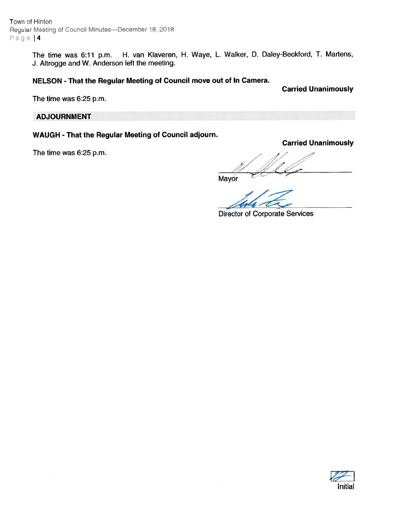Town of Hinton Regular Meeting of Council Minutes—December 18, 2018 Page | 4

> The time was 6:11 p.m. H. van Klaveren, H. Waye, L. Walker, D. Daley-Beckford, T. Martens, J. Altrogge and W. Anderson left the meeting.

#### NELSON - That the Regular Meeting of Council move out of In Camera.

Carried Unanimously

Carried Unanimously

The time was 6:25 p.m.

### ADJOURNMENT

## WAUGH - That the Regular Meeting of Council adjourn.

The time was 6:25 p.m.

Mayor

Director of Corporate Services